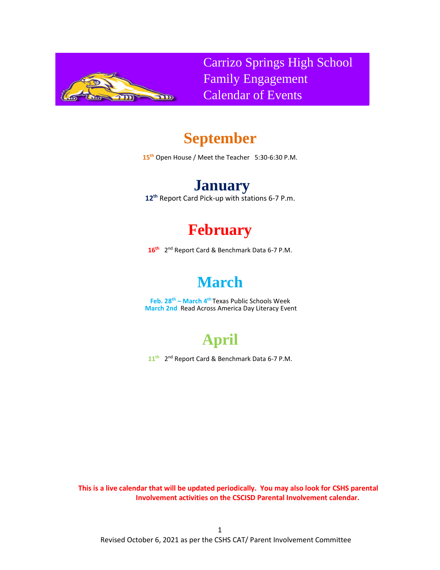

Carrizo Springs High School Family Engagement Calendar of Events

## **September**

**15th** Open House / Meet the Teacher 5:30-6:30 P.M.

## **January**

**12 th** Report Card Pick-up with stations 6-7 P.m.

## **February**

16<sup>th</sup> 2<sup>nd</sup> Report Card & Benchmark Data 6-7 P.M.

## **March**

**Feb. 28th – March 4 th** Texas Public Schools Week **March 2nd** Read Across America Day Literacy Event

# **April**

11<sup>th</sup> 2<sup>nd</sup> Report Card & Benchmark Data 6-7 P.M.

**This is a live calendar that will be updated periodically. You may also look for CSHS parental Involvement activities on the CSCISD Parental Involvement calendar.**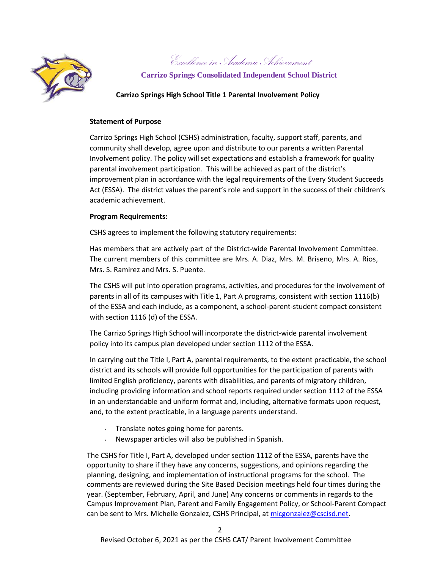

Excellence in Academic Achievement

**Carrizo Springs Consolidated Independent School District**

### **Carrizo Springs High School Title 1 Parental Involvement Policy**

### **Statement of Purpose**

Carrizo Springs High School (CSHS) administration, faculty, support staff, parents, and community shall develop, agree upon and distribute to our parents a written Parental Involvement policy. The policy will set expectations and establish a framework for quality parental involvement participation. This will be achieved as part of the district's improvement plan in accordance with the legal requirements of the Every Student Succeeds Act (ESSA). The district values the parent's role and support in the success of their children's academic achievement.

### **Program Requirements:**

CSHS agrees to implement the following statutory requirements:

Has members that are actively part of the District-wide Parental Involvement Committee. The current members of this committee are Mrs. A. Diaz, Mrs. M. Briseno, Mrs. A. Rios, Mrs. S. Ramirez and Mrs. S. Puente.

The CSHS will put into operation programs, activities, and procedures for the involvement of parents in all of its campuses with Title 1, Part A programs, consistent with section 1116(b) of the ESSA and each include, as a component, a school-parent-student compact consistent with section 1116 (d) of the ESSA.

The Carrizo Springs High School will incorporate the district-wide parental involvement policy into its campus plan developed under section 1112 of the ESSA.

In carrying out the Title I, Part A, parental requirements, to the extent practicable, the school district and its schools will provide full opportunities for the participation of parents with limited English proficiency, parents with disabilities, and parents of migratory children, including providing information and school reports required under section 1112 of the ESSA in an understandable and uniform format and, including, alternative formats upon request, and, to the extent practicable, in a language parents understand.

- $\sqrt{ }$  Translate notes going home for parents.
- Newspaper articles will also be published in Spanish.

The CSHS for Title I, Part A, developed under section 1112 of the ESSA, parents have the opportunity to share if they have any concerns, suggestions, and opinions regarding the planning, designing, and implementation of instructional programs for the school. The comments are reviewed during the Site Based Decision meetings held four times during the year. (September, February, April, and June) Any concerns or comments in regards to the Campus Improvement Plan, Parent and Family Engagement Policy, or School-Parent Compact can be sent to Mrs. Michelle Gonzalez, CSHS Principal, a[t micgonzalez@cscisd.net.](mailto:micgonzalez@cscisd.net)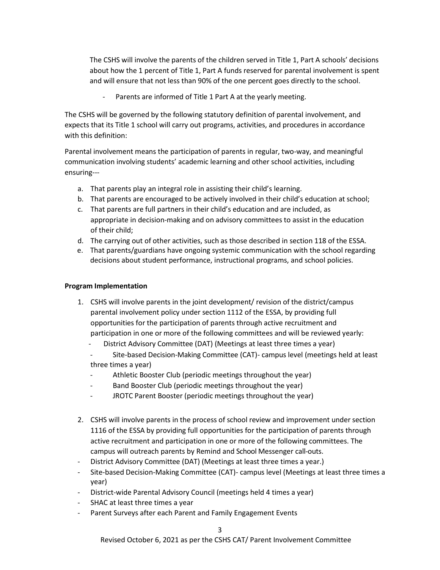The CSHS will involve the parents of the children served in Title 1, Part A schools' decisions about how the 1 percent of Title 1, Part A funds reserved for parental involvement is spent and will ensure that not less than 90% of the one percent goes directly to the school.

Parents are informed of Title 1 Part A at the yearly meeting.

The CSHS will be governed by the following statutory definition of parental involvement, and expects that its Title 1 school will carry out programs, activities, and procedures in accordance with this definition:

Parental involvement means the participation of parents in regular, two-way, and meaningful communication involving students' academic learning and other school activities, including ensuring---

- a. That parents play an integral role in assisting their child's learning.
- b. That parents are encouraged to be actively involved in their child's education at school;
- c. That parents are full partners in their child's education and are included, as appropriate in decision-making and on advisory committees to assist in the education of their child;
- d. The carrying out of other activities, such as those described in section 118 of the ESSA.
- e. That parents/guardians have ongoing systemic communication with the school regarding decisions about student performance, instructional programs, and school policies.

### **Program Implementation**

- 1. CSHS will involve parents in the joint development/ revision of the district/campus parental involvement policy under section 1112 of the ESSA, by providing full opportunities for the participation of parents through active recruitment and participation in one or more of the following committees and will be reviewed yearly:
	- District Advisory Committee (DAT) (Meetings at least three times a year)
	- Site-based Decision-Making Committee (CAT)- campus level (meetings held at least three times a year)
	- Athletic Booster Club (periodic meetings throughout the year)
	- Band Booster Club (periodic meetings throughout the year)
	- JROTC Parent Booster (periodic meetings throughout the year)
- 2. CSHS will involve parents in the process of school review and improvement under section 1116 of the ESSA by providing full opportunities for the participation of parents through active recruitment and participation in one or more of the following committees. The campus will outreach parents by Remind and School Messenger call-outs.
- District Advisory Committee (DAT) (Meetings at least three times a year.)
- Site-based Decision-Making Committee (CAT)- campus level (Meetings at least three times a year)
- District-wide Parental Advisory Council (meetings held 4 times a year)
- SHAC at least three times a year
- Parent Surveys after each Parent and Family Engagement Events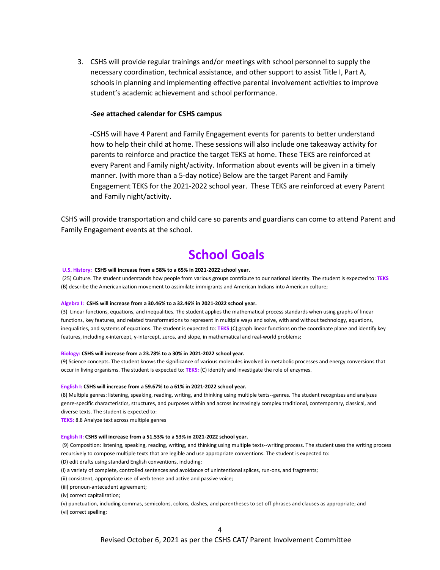3. CSHS will provide regular trainings and/or meetings with school personnel to supply the necessary coordination, technical assistance, and other support to assist Title I, Part A, schools in planning and implementing effective parental involvement activities to improve student's academic achievement and school performance.

### **-See attached calendar for CSHS campus**

-CSHS will have 4 Parent and Family Engagement events for parents to better understand how to help their child at home. These sessions will also include one takeaway activity for parents to reinforce and practice the target TEKS at home. These TEKS are reinforced at every Parent and Family night/activity. Information about events will be given in a timely manner. (with more than a 5-day notice) Below are the target Parent and Family Engagement TEKS for the 2021-2022 school year. These TEKS are reinforced at every Parent and Family night/activity.

CSHS will provide transportation and child care so parents and guardians can come to attend Parent and Family Engagement events at the school.

## **School Goals**

#### **U.S. History: CSHS will increase from a 58% to a 65% in 2021-2022 school year.**

(25) Culture. The student understands how people from various groups contribute to our national identity. The student is expected to: **TEKS** (B) describe the Americanization movement to assimilate immigrants and American Indians into American culture;

#### **Algebra I: CSHS will increase from a 30.46% to a 32.46% in 2021-2022 school year.**

(3) Linear functions, equations, and inequalities. The student applies the mathematical process standards when using graphs of linear functions, key features, and related transformations to represent in multiple ways and solve, with and without technology, equations, inequalities, and systems of equations. The student is expected to: **TEKS**:(C) graph linear functions on the coordinate plane and identify key features, including x-intercept, y-intercept, zeros, and slope, in mathematical and real-world problems;

#### **Biology: CSHS will increase from a 23.78% to a 30% in 2021-2022 school year.**

(9) Science concepts. The student knows the significance of various molecules involved in metabolic processes and energy conversions that occur in living organisms. The student is expected to: **TEKS:** (C) identify and investigate the role of enzymes.

#### **English I: CSHS will increase from a 59.67% to a 61% in 2021-2022 school year.**

(8) Multiple genres: listening, speaking, reading, writing, and thinking using multiple texts--genres. The student recognizes and analyzes genre-specific characteristics, structures, and purposes within and across increasingly complex traditional, contemporary, classical, and diverse texts. The student is expected to:

**TEKS:** 8.8 Analyze text across multiple genres

#### **English II: CSHS will increase from a 51.53% to a 53% in 2021-2022 school year.**

(9) Composition: listening, speaking, reading, writing, and thinking using multiple texts--writing process. The student uses the writing process recursively to compose multiple texts that are legible and use appropriate conventions. The student is expected to: (D) edit drafts using standard English conventions, including:

(i) a variety of complete, controlled sentences and avoidance of unintentional splices, run-ons, and fragments;

(ii) consistent, appropriate use of verb tense and active and passive voice;

(iii) pronoun-antecedent agreement;

(iv) correct capitalization;

(v) punctuation, including commas, semicolons, colons, dashes, and parentheses to set off phrases and clauses as appropriate; and (vi) correct spelling;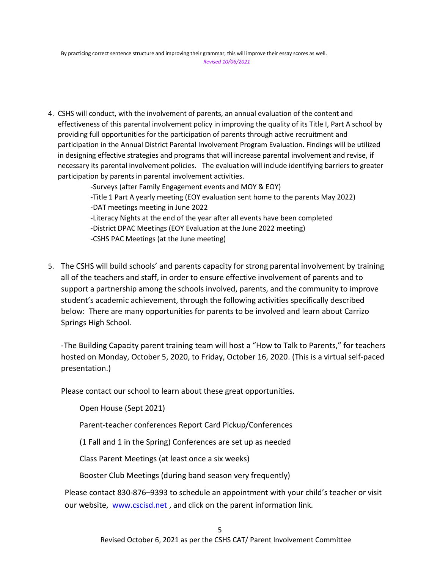4. CSHS will conduct, with the involvement of parents, an annual evaluation of the content and effectiveness of this parental involvement policy in improving the quality of its Title I, Part A school by providing full opportunities for the participation of parents through active recruitment and participation in the Annual District Parental Involvement Program Evaluation. Findings will be utilized in designing effective strategies and programs that will increase parental involvement and revise, if necessary its parental involvement policies. The evaluation will include identifying barriers to greater participation by parents in parental involvement activities.

> -Surveys (after Family Engagement events and MOY & EOY) -Title 1 Part A yearly meeting (EOY evaluation sent home to the parents May 2022) -DAT meetings meeting in June 2022 -Literacy Nights at the end of the year after all events have been completed -District DPAC Meetings (EOY Evaluation at the June 2022 meeting) -CSHS PAC Meetings (at the June meeting)

5. The CSHS will build schools' and parents capacity for strong parental involvement by training all of the teachers and staff, in order to ensure effective involvement of parents and to support a partnership among the schools involved, parents, and the community to improve student's academic achievement, through the following activities specifically described below: There are many opportunities for parents to be involved and learn about Carrizo Springs High School.

-The Building Capacity parent training team will host a "How to Talk to Parents," for teachers hosted on Monday, October 5, 2020, to Friday, October 16, 2020. (This is a virtual self-paced presentation.)

Please contact our school to learn about these great opportunities.

Open House (Sept 2021)

Parent-teacher conferences Report Card Pickup/Conferences

(1 Fall and 1 in the Spring) Conferences are set up as needed

Class Parent Meetings (at least once a six weeks)

Booster Club Meetings (during band season very frequently)

Please contact 830-876–9393 to schedule an appointment with your child's teacher or visit our website, www.cscisd.net, and click on the parent information link.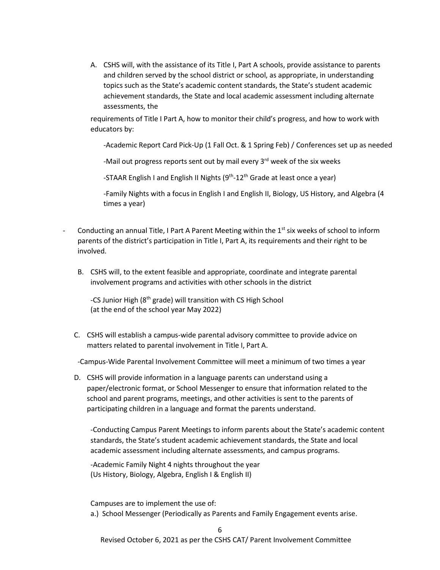A. CSHS will, with the assistance of its Title I, Part A schools, provide assistance to parents and children served by the school district or school, as appropriate, in understanding topics such as the State's academic content standards, the State's student academic achievement standards, the State and local academic assessment including alternate assessments, the

requirements of Title I Part A, how to monitor their child's progress, and how to work with educators by:

-Academic Report Card Pick-Up (1 Fall Oct. & 1 Spring Feb) / Conferences set up as needed

-Mail out progress reports sent out by mail every 3<sup>rd</sup> week of the six weeks

-STAAR English I and English II Nights (9<sup>th</sup>-12<sup>th</sup> Grade at least once a year)

-Family Nights with a focus in English I and English II, Biology, US History, and Algebra (4 times a year)

- Conducting an annual Title, I Part A Parent Meeting within the  $1<sup>st</sup>$  six weeks of school to inform parents of the district's participation in Title I, Part A, its requirements and their right to be involved.
	- B. CSHS will, to the extent feasible and appropriate, coordinate and integrate parental involvement programs and activities with other schools in the district

-CS Junior High (8<sup>th</sup> grade) will transition with CS High School (at the end of the school year May 2022)

C. CSHS will establish a campus-wide parental advisory committee to provide advice on matters related to parental involvement in Title I, Part A.

-Campus-Wide Parental Involvement Committee will meet a minimum of two times a year

D. CSHS will provide information in a language parents can understand using a paper/electronic format, or School Messenger to ensure that information related to the school and parent programs, meetings, and other activities is sent to the parents of participating children in a language and format the parents understand.

-Conducting Campus Parent Meetings to inform parents about the State's academic content standards, the State's student academic achievement standards, the State and local academic assessment including alternate assessments, and campus programs.

-Academic Family Night 4 nights throughout the year (Us History, Biology, Algebra, English I & English II)

Campuses are to implement the use of:

a.) School Messenger (Periodically as Parents and Family Engagement events arise.